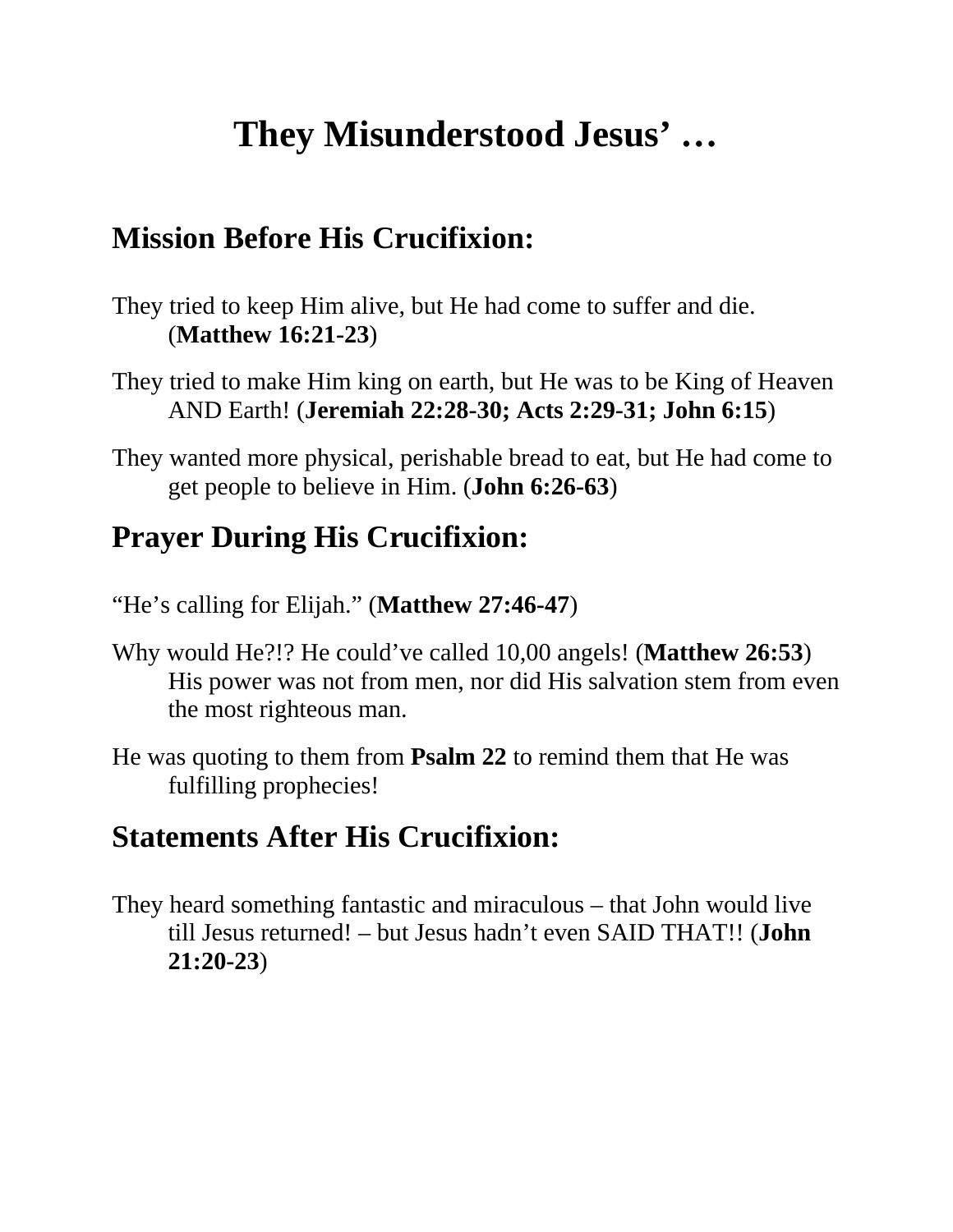# **They Misunderstood Jesus' …**

### **Mission Before His Crucifixion:**

- They tried to keep Him alive, but He had come to suffer and die. (**Matthew 16:21-23**)
- They tried to make Him king on earth, but He was to be King of Heaven AND Earth! (**Jeremiah 22:28-30; Acts 2:29-31; John 6:15**)
- They wanted more physical, perishable bread to eat, but He had come to get people to believe in Him. (**John 6:26-63**)

## **Prayer During His Crucifixion:**

"He's calling for Elijah." (**Matthew 27:46-47**)

- Why would He?!? He could've called 10,00 angels! (**Matthew 26:53**) His power was not from men, nor did His salvation stem from even the most righteous man.
- He was quoting to them from **Psalm 22** to remind them that He was fulfilling prophecies!

## **Statements After His Crucifixion:**

They heard something fantastic and miraculous – that John would live till Jesus returned! – but Jesus hadn't even SAID THAT!! (**John 21:20-23**)